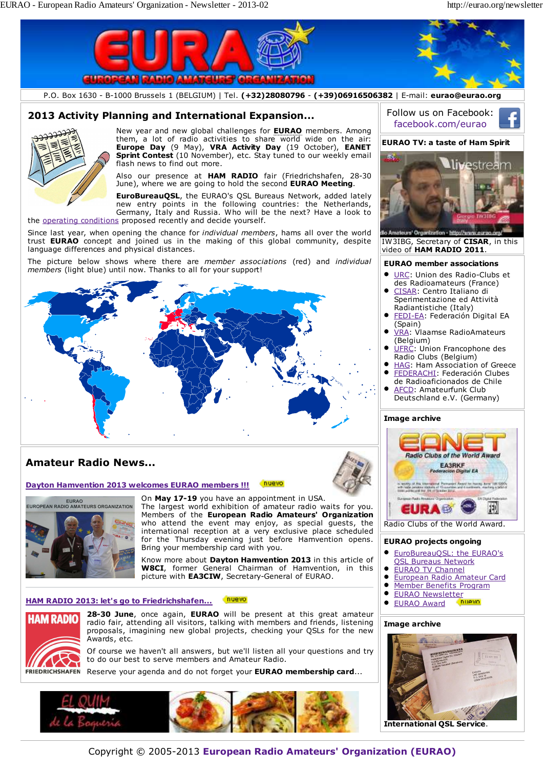